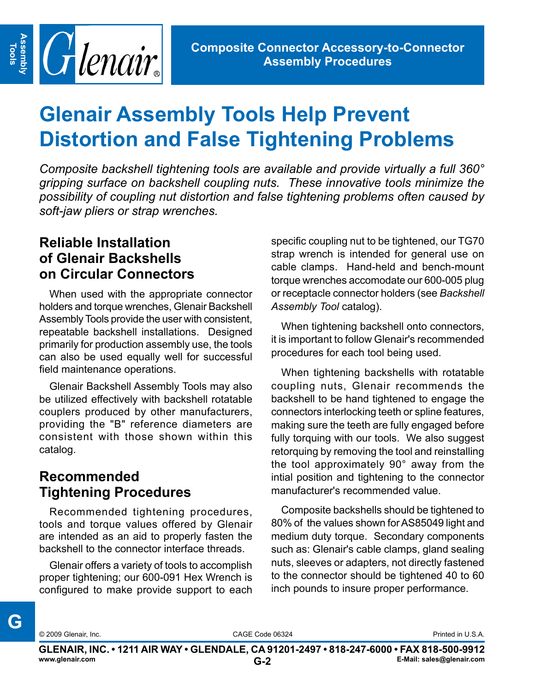

# **Glenair Assembly Tools Help Prevent Distortion and False Tightening Problems**

*Composite backshell tightening tools are available and provide virtually a full 360° gripping surface on backshell coupling nuts. These innovative tools minimize the possibility of coupling nut distortion and false tightening problems often caused by soft-jaw pliers or strap wrenches.*

#### **Reliable Installation of Glenair Backshells on Circular Connectors**

When used with the appropriate connector holders and torque wrenches, Glenair Backshell Assembly Tools provide the user with consistent, repeatable backshell installations. Designed primarily for production assembly use, the tools can also be used equally well for successful field maintenance operations.

Glenair Backshell Assembly Tools may also be utilized effectively with backshell rotatable couplers produced by other manufacturers, providing the "B" reference diameters are consistent with those shown within this catalog.

#### **Recommended Tightening Procedures**

Recommended tightening procedures, tools and torque values offered by Glenair are intended as an aid to properly fasten the backshell to the connector interface threads.

Glenair offers a variety of tools to accomplish proper tightening; our 600-091 Hex Wrench is configured to make provide support to each specific coupling nut to be tightened, our TG70 strap wrench is intended for general use on cable clamps. Hand-held and bench-mount torque wrenches accomodate our 600-005 plug or receptacle connector holders (see *Backshell Assembly Tool* catalog).

When tightening backshell onto connectors, it is important to follow Glenair's recommended procedures for each tool being used.

When tightening backshells with rotatable coupling nuts, Glenair recommends the backshell to be hand tightened to engage the connectors interlocking teeth or spline features, making sure the teeth are fully engaged before fully torquing with our tools. We also suggest retorquing by removing the tool and reinstalling the tool approximately 90° away from the intial position and tightening to the connector manufacturer's recommended value.

Composite backshells should be tightened to 80% of the values shown for AS85049 light and medium duty torque. Secondary components such as: Glenair's cable clamps, gland sealing nuts, sleeves or adapters, not directly fastened to the connector should be tightened 40 to 60 inch pounds to insure proper performance.

© 2009 Glenair, Inc. CAGE Code 06324 Printed in U.S.A.